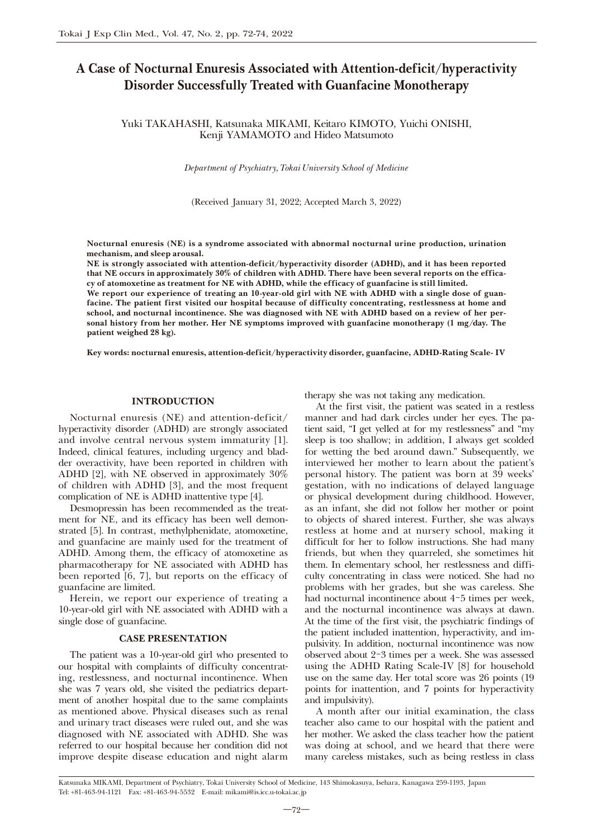# A Case of Nocturnal Enuresis Associated with Attention-deficit/hyperactivity Disorder Successfully Treated with Guanfacine Monotherapy

Yuki TAKAHASHI, Katsunaka MIKAMI, Keitaro KIMOTO, Yuichi ONISHI, Kenji YAMAMOTO and Hideo Matsumoto

*Department of Psychiatry, Tokai University School of Medicine*

(Received January 31, 2022; Accepted March 3, 2022)

Nocturnal enuresis (NE) is a syndrome associated with abnormal nocturnal urine production, urination mechanism, and sleep arousal.

NE is strongly associated with attention-deficit/hyperactivity disorder (ADHD), and it has been reported that NE occurs in approximately 30% of children with ADHD. There have been several reports on the efficacy of atomoxetine as treatment for NE with ADHD, while the efficacy of guanfacine is still limited.

We report our experience of treating an 10-year-old girl with NE with ADHD with a single dose of guanfacine. The patient first visited our hospital because of difficulty concentrating, restlessness at home and school, and nocturnal incontinence. She was diagnosed with NE with ADHD based on a review of her personal history from her mother. Her NE symptoms improved with guanfacine monotherapy (1 mg/day. The patient weighed 28 kg).

Key words: nocturnal enuresis, attention-deficit/hyperactivity disorder, guanfacine, ADHD-Rating Scale- IV

## INTRODUCTION

Nocturnal enuresis (NE) and attention-deficit/ hyperactivity disorder (ADHD) are strongly associated and involve central nervous system immaturity [1]. Indeed, clinical features, including urgency and bladder overactivity, have been reported in children with ADHD [2], with NE observed in approximately 30% of children with ADHD [3], and the most frequent complication of NE is ADHD inattentive type [4].

Desmopressin has been recommended as the treatment for NE, and its efficacy has been well demonstrated [5]. In contrast, methylphenidate, atomoxetine, and guanfacine are mainly used for the treatment of ADHD. Among them, the efficacy of atomoxetine as pharmacotherapy for NE associated with ADHD has been reported [6, 7], but reports on the efficacy of guanfacine are limited.

Herein, we report our experience of treating a 10-year-old girl with NE associated with ADHD with a single dose of guanfacine.

## CASE PRESENTATION

The patient was a 10-year-old girl who presented to our hospital with complaints of difficulty concentrating, restlessness, and nocturnal incontinence. When she was 7 years old, she visited the pediatrics department of another hospital due to the same complaints as mentioned above. Physical diseases such as renal and urinary tract diseases were ruled out, and she was diagnosed with NE associated with ADHD. She was referred to our hospital because her condition did not improve despite disease education and night alarm therapy she was not taking any medication.

At the first visit, the patient was seated in a restless manner and had dark circles under her eyes. The patient said, "I get yelled at for my restlessness" and "my sleep is too shallow; in addition, I always get scolded for wetting the bed around dawn." Subsequently, we interviewed her mother to learn about the patient's personal history. The patient was born at 39 weeks' gestation, with no indications of delayed language or physical development during childhood. However, as an infant, she did not follow her mother or point to objects of shared interest. Further, she was always restless at home and at nursery school, making it difficult for her to follow instructions. She had many friends, but when they quarreled, she sometimes hit them. In elementary school, her restlessness and difficulty concentrating in class were noticed. She had no problems with her grades, but she was careless. She had nocturnal incontinence about 4-5 times per week, and the nocturnal incontinence was always at dawn. At the time of the first visit, the psychiatric findings of the patient included inattention, hyperactivity, and impulsivity. In addition, nocturnal incontinence was now observed about 2-3 times per a week. She was assessed using the ADHD Rating Scale-IV [8] for household use on the same day. Her total score was 26 points (19 points for inattention, and 7 points for hyperactivity and impulsivity).

A month after our initial examination, the class teacher also came to our hospital with the patient and her mother. We asked the class teacher how the patient was doing at school, and we heard that there were many careless mistakes, such as being restless in class

Katsunaka MIKAMI, Department of Psychiatry, Tokai University School of Medicine, 143 Shimokasuya, Isehara, Kanagawa 259-1193, Japan Tel: +81-463-94-1121 Fax: +81-463-94-5532 E-mail: mikami@is.icc.u-tokai.ac.jp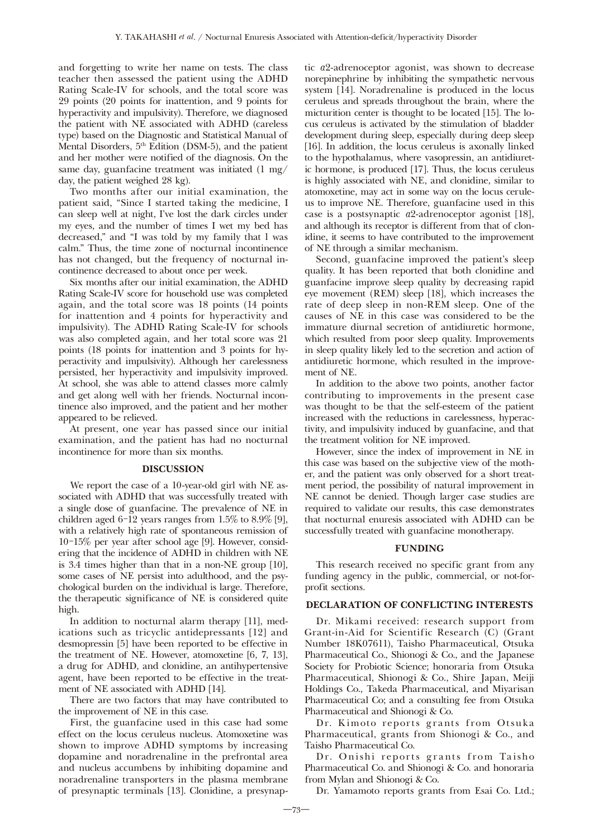and forgetting to write her name on tests. The class teacher then assessed the patient using the ADHD Rating Scale-IV for schools, and the total score was 29 points (20 points for inattention, and 9 points for hyperactivity and impulsivity). Therefore, we diagnosed the patient with NE associated with ADHD (careless type) based on the Diagnostic and Statistical Manual of Mental Disorders, 5<sup>th</sup> Edition (DSM-5), and the patient and her mother were notified of the diagnosis. On the same day, guanfacine treatment was initiated (1 mg/ day, the patient weighed 28 kg).

Two months after our initial examination, the patient said, "Since I started taking the medicine, I can sleep well at night, I've lost the dark circles under my eyes, and the number of times I wet my bed has decreased," and "I was told by my family that l was calm." Thus, the time zone of nocturnal incontinence has not changed, but the frequency of nocturnal incontinence decreased to about once per week.

Six months after our initial examination, the ADHD Rating Scale-IV score for household use was completed again, and the total score was 18 points (14 points for inattention and 4 points for hyperactivity and impulsivity). The ADHD Rating Scale-IV for schools was also completed again, and her total score was 21 points (18 points for inattention and 3 points for hyperactivity and impulsivity). Although her carelessness persisted, her hyperactivity and impulsivity improved. At school, she was able to attend classes more calmly and get along well with her friends. Nocturnal incontinence also improved, and the patient and her mother appeared to be relieved.

At present, one year has passed since our initial examination, and the patient has had no nocturnal incontinence for more than six months.

### DISCUSSION

We report the case of a 10-year-old girl with NE associated with ADHD that was successfully treated with a single dose of guanfacine. The prevalence of NE in children aged  $6-12$  years ranges from  $1.5\%$  to  $8.9\%$  [9], with a relatively high rate of spontaneous remission of 10-15% per year after school age [9]. However, considering that the incidence of ADHD in children with NE is 3.4 times higher than that in a non-NE group [10], some cases of NE persist into adulthood, and the psychological burden on the individual is large. Therefore, the therapeutic significance of NE is considered quite high.

In addition to nocturnal alarm therapy [11], medications such as tricyclic antidepressants [12] and desmopressin [5] have been reported to be effective in the treatment of NE. However, atomoxetine [6, 7, 13], a drug for ADHD, and clonidine, an antihypertensive agent, have been reported to be effective in the treatment of NE associated with ADHD [14].

There are two factors that may have contributed to the improvement of NE in this case.

First, the guanfacine used in this case had some effect on the locus ceruleus nucleus. Atomoxetine was shown to improve ADHD symptoms by increasing dopamine and noradrenaline in the prefrontal area and nucleus accumbens by inhibiting dopamine and noradrenaline transporters in the plasma membrane of presynaptic terminals [13]. Clonidine, a presynaptic α2-adrenoceptor agonist, was shown to decrease norepinephrine by inhibiting the sympathetic nervous system [14]. Noradrenaline is produced in the locus ceruleus and spreads throughout the brain, where the micturition center is thought to be located [15]. The locus ceruleus is activated by the stimulation of bladder development during sleep, especially during deep sleep [16]. In addition, the locus ceruleus is axonally linked to the hypothalamus, where vasopressin, an antidiuretic hormone, is produced [17]. Thus, the locus ceruleus is highly associated with NE, and clonidine, similar to atomoxetine, may act in some way on the locus ceruleus to improve NE. Therefore, guanfacine used in this case is a postsynaptic  $a2$ -adrenoceptor agonist [18], and although its receptor is different from that of clonidine, it seems to have contributed to the improvement of NE through a similar mechanism.

Second, guanfacine improved the patient's sleep quality. It has been reported that both clonidine and guanfacine improve sleep quality by decreasing rapid eye movement (REM) sleep [18], which increases the rate of deep sleep in non-REM sleep. One of the causes of NE in this case was considered to be the immature diurnal secretion of antidiuretic hormone, which resulted from poor sleep quality. Improvements in sleep quality likely led to the secretion and action of antidiuretic hormone, which resulted in the improvement of NE.

In addition to the above two points, another factor contributing to improvements in the present case was thought to be that the self-esteem of the patient increased with the reductions in carelessness, hyperactivity, and impulsivity induced by guanfacine, and that the treatment volition for NE improved.

However, since the index of improvement in NE in this case was based on the subjective view of the mother, and the patient was only observed for a short treatment period, the possibility of natural improvement in NE cannot be denied. Though larger case studies are required to validate our results, this case demonstrates that nocturnal enuresis associated with ADHD can be successfully treated with guanfacine monotherapy.

### FUNDING

This research received no specific grant from any funding agency in the public, commercial, or not-forprofit sections.

## DECLARATION OF CONFLICTING INTERESTS

Dr. Mikami received: research support from Grant-in-Aid for Scientific Research (C) (Grant Number 18K07611), Taisho Pharmaceutical, Otsuka Pharmaceutical Co., Shionogi & Co., and the Japanese Society for Probiotic Science; honoraria from Otsuka Pharmaceutical, Shionogi & Co., Shire Japan, Meiji Holdings Co., Takeda Pharmaceutical, and Miyarisan Pharmaceutical Co; and a consulting fee from Otsuka Pharmaceutical and Shionogi & Co.

Dr. Kimoto reports grants from Otsuka Pharmaceutical, grants from Shionogi & Co., and Taisho Pharmaceutical Co.

Dr. Onishi reports grants from Taisho Pharmaceutical Co. and Shionogi & Co. and honoraria from Mylan and Shionogi & Co.

Dr. Yamamoto reports grants from Esai Co. Ltd.;